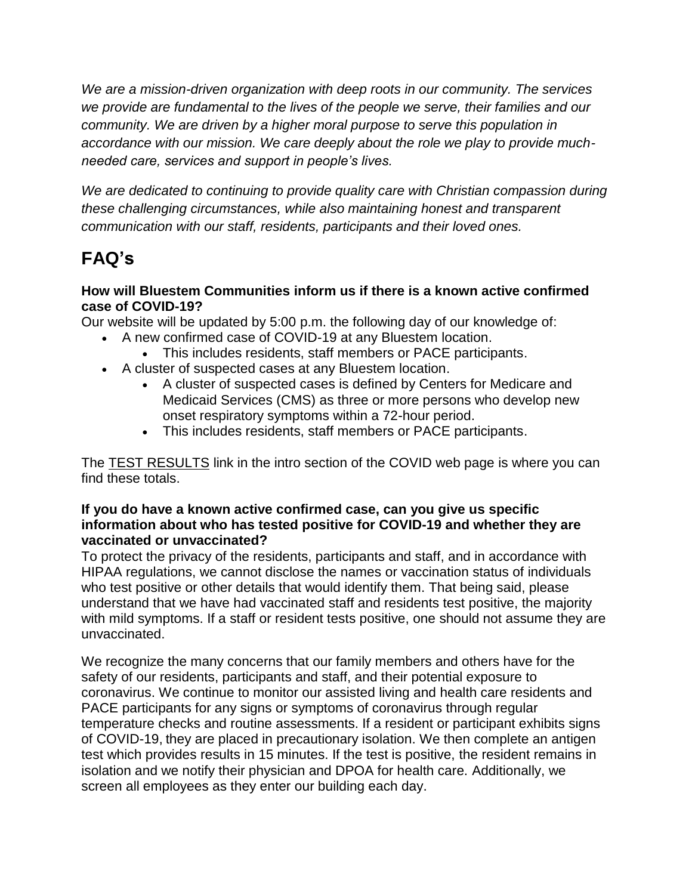*We are a mission-driven organization with deep roots in our community. The services we provide are fundamental to the lives of the people we serve, their families and our community. We are driven by a higher moral purpose to serve this population in accordance with our mission. We care deeply about the role we play to provide muchneeded care, services and support in people's lives.* 

*We are dedicated to continuing to provide quality care with Christian compassion during these challenging circumstances, while also maintaining honest and transparent communication with our staff, residents, participants and their loved ones.*

# **FAQ's**

### **How will Bluestem Communities inform us if there is a known active confirmed case of COVID-19?**

Our website will be updated by 5:00 p.m. the following day of our knowledge of:

- A new confirmed case of COVID-19 at any Bluestem location.
	- This includes residents, staff members or PACE participants.
- A cluster of suspected cases at any Bluestem location.
	- A cluster of suspected cases is defined by Centers for Medicare and Medicaid Services (CMS) as three or more persons who develop new onset respiratory symptoms within a 72-hour period.
	- This includes residents, staff members or PACE participants.

The [TEST RESULTS](https://bluestemcommunities.org/assets/uploads/media/Test_Results.pdf) link in the intro section of the COVID web page is where you can find these totals.

#### **If you do have a known active confirmed case, can you give us specific information about who has tested positive for COVID-19 and whether they are vaccinated or unvaccinated?**

To protect the privacy of the residents, participants and staff, and in accordance with HIPAA regulations, we cannot disclose the names or vaccination status of individuals who test positive or other details that would identify them. That being said, please understand that we have had vaccinated staff and residents test positive, the majority with mild symptoms. If a staff or resident tests positive, one should not assume they are unvaccinated.

We recognize the many concerns that our family members and others have for the safety of our residents, participants and staff, and their potential exposure to coronavirus. We continue to monitor our assisted living and health care residents and PACE participants for any signs or symptoms of coronavirus through regular temperature checks and routine assessments. If a resident or participant exhibits signs of COVID-19, they are placed in precautionary isolation. We then complete an antigen test which provides results in 15 minutes. If the test is positive, the resident remains in isolation and we notify their physician and DPOA for health care. Additionally, we screen all employees as they enter our building each day.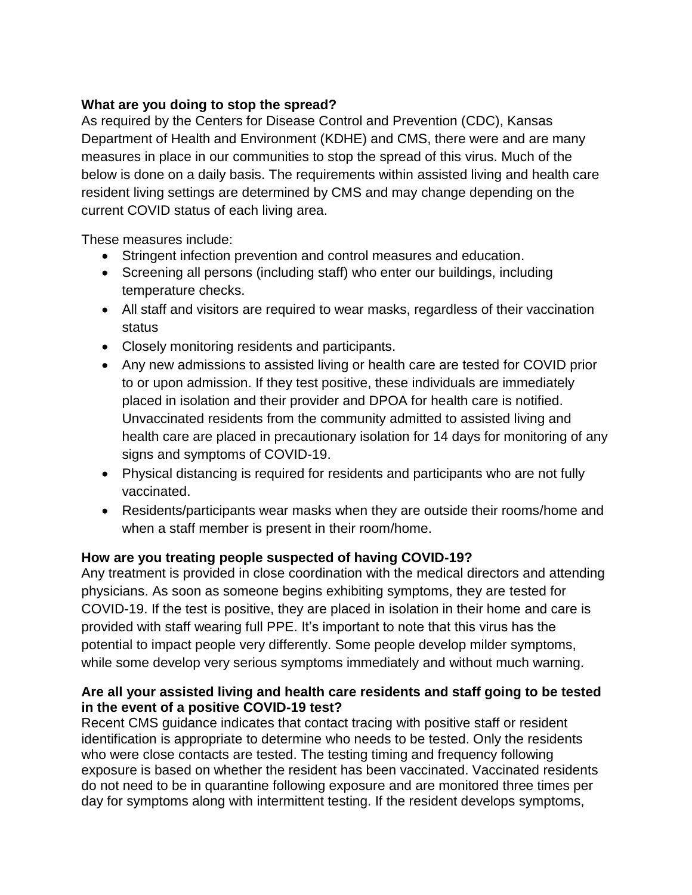## **What are you doing to stop the spread?**

As required by the Centers for Disease Control and Prevention (CDC), Kansas Department of Health and Environment (KDHE) and CMS, there were and are many measures in place in our communities to stop the spread of this virus. Much of the below is done on a daily basis. The requirements within assisted living and health care resident living settings are determined by CMS and may change depending on the current COVID status of each living area.

These measures include:

- Stringent infection prevention and control measures and education.
- Screening all persons (including staff) who enter our buildings, including temperature checks.
- All staff and visitors are required to wear masks, regardless of their vaccination status
- Closely monitoring residents and participants.
- Any new admissions to assisted living or health care are tested for COVID prior to or upon admission. If they test positive, these individuals are immediately placed in isolation and their provider and DPOA for health care is notified. Unvaccinated residents from the community admitted to assisted living and health care are placed in precautionary isolation for 14 days for monitoring of any signs and symptoms of COVID-19.
- Physical distancing is required for residents and participants who are not fully vaccinated.
- Residents/participants wear masks when they are outside their rooms/home and when a staff member is present in their room/home.

# **How are you treating people suspected of having COVID-19?**

Any treatment is provided in close coordination with the medical directors and attending physicians. As soon as someone begins exhibiting symptoms, they are tested for COVID-19. If the test is positive, they are placed in isolation in their home and care is provided with staff wearing full PPE. It's important to note that this virus has the potential to impact people very differently. Some people develop milder symptoms, while some develop very serious symptoms immediately and without much warning.

## **Are all your assisted living and health care residents and staff going to be tested in the event of a positive COVID-19 test?**

Recent CMS guidance indicates that contact tracing with positive staff or resident identification is appropriate to determine who needs to be tested. Only the residents who were close contacts are tested. The testing timing and frequency following exposure is based on whether the resident has been vaccinated. Vaccinated residents do not need to be in quarantine following exposure and are monitored three times per day for symptoms along with intermittent testing. If the resident develops symptoms,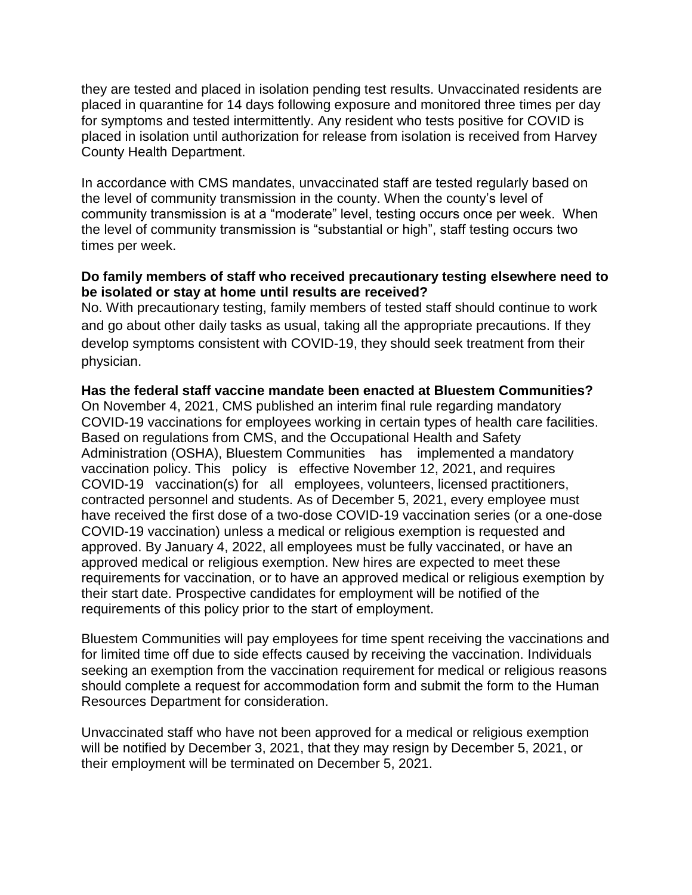they are tested and placed in isolation pending test results. Unvaccinated residents are placed in quarantine for 14 days following exposure and monitored three times per day for symptoms and tested intermittently. Any resident who tests positive for COVID is placed in isolation until authorization for release from isolation is received from Harvey County Health Department.

In accordance with CMS mandates, unvaccinated staff are tested regularly based on the level of community transmission in the county. When the county's level of community transmission is at a "moderate" level, testing occurs once per week. When the level of community transmission is "substantial or high", staff testing occurs two times per week.

#### **Do family members of staff who received precautionary testing elsewhere need to be isolated or stay at home until results are received?**

No. With precautionary testing, family members of tested staff should continue to work and go about other daily tasks as usual, taking all the appropriate precautions. If they develop symptoms consistent with COVID-19, they should seek treatment from their physician.

#### **Has the federal staff vaccine mandate been enacted at Bluestem Communities?**

On November 4, 2021, CMS published an interim final rule regarding mandatory COVID-19 vaccinations for employees working in certain types of health care facilities. Based on regulations from CMS, and the Occupational Health and Safety Administration (OSHA), Bluestem Communities has implemented a mandatory vaccination policy. This policy is effective November 12, 2021, and requires COVID-19 vaccination(s) for all employees, volunteers, licensed practitioners, contracted personnel and students. As of December 5, 2021, every employee must have received the first dose of a two-dose COVID-19 vaccination series (or a one-dose COVID-19 vaccination) unless a medical or religious exemption is requested and approved. By January 4, 2022, all employees must be fully vaccinated, or have an approved medical or religious exemption. New hires are expected to meet these requirements for vaccination, or to have an approved medical or religious exemption by their start date. Prospective candidates for employment will be notified of the requirements of this policy prior to the start of employment.

Bluestem Communities will pay employees for time spent receiving the vaccinations and for limited time off due to side effects caused by receiving the vaccination. Individuals seeking an exemption from the vaccination requirement for medical or religious reasons should complete a request for accommodation form and submit the form to the Human Resources Department for consideration.

Unvaccinated staff who have not been approved for a medical or religious exemption will be notified by December 3, 2021, that they may resign by December 5, 2021, or their employment will be terminated on December 5, 2021.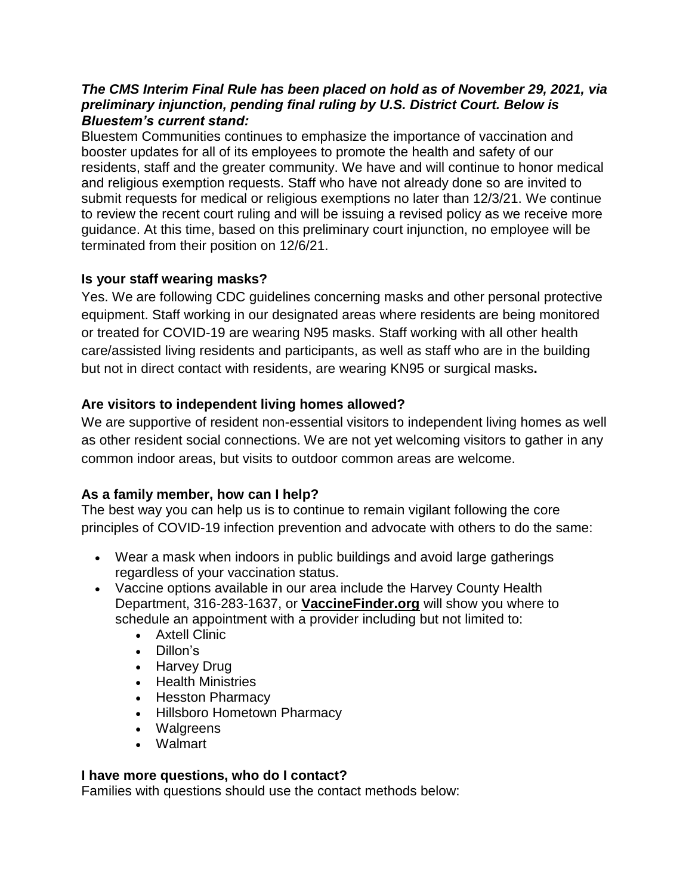#### *The CMS Interim Final Rule has been placed on hold as of November 29, 2021, via preliminary injunction, pending final ruling by U.S. District Court. Below is Bluestem's current stand:*

Bluestem Communities continues to emphasize the importance of vaccination and booster updates for all of its employees to promote the health and safety of our residents, staff and the greater community. We have and will continue to honor medical and religious exemption requests. Staff who have not already done so are invited to submit requests for medical or religious exemptions no later than 12/3/21. We continue to review the recent court ruling and will be issuing a revised policy as we receive more guidance. At this time, based on this preliminary court injunction, no employee will be terminated from their position on 12/6/21.

# **Is your staff wearing masks?**

Yes. We are following CDC guidelines concerning masks and other personal protective equipment. Staff working in our designated areas where residents are being monitored or treated for COVID-19 are wearing N95 masks. Staff working with all other health care/assisted living residents and participants, as well as staff who are in the building but not in direct contact with residents, are wearing KN95 or surgical masks**.**

# **Are visitors to independent living homes allowed?**

We are supportive of resident non-essential visitors to independent living homes as well as other resident social connections. We are not yet welcoming visitors to gather in any common indoor areas, but visits to outdoor common areas are welcome.

# **As a family member, how can I help?**

The best way you can help us is to continue to remain vigilant following the core principles of COVID-19 infection prevention and advocate with others to do the same:

- Wear a mask when indoors in public buildings and avoid large gatherings regardless of your vaccination status.
- Vaccine options available in our area include the Harvey County Health Department, 316-283-1637, or **[VaccineFinder.org](https://vaccinefinder.org/)** will show you where to schedule an appointment with a provider including but not limited to:
	- Axtell Clinic
	- Dillon's
	- Harvey Drug
	- Health Ministries
	- Hesston Pharmacy
	- Hillsboro Hometown Pharmacy
	- Walgreens
	- Walmart

# **I have more questions, who do I contact?**

Families with questions should use the contact methods below: